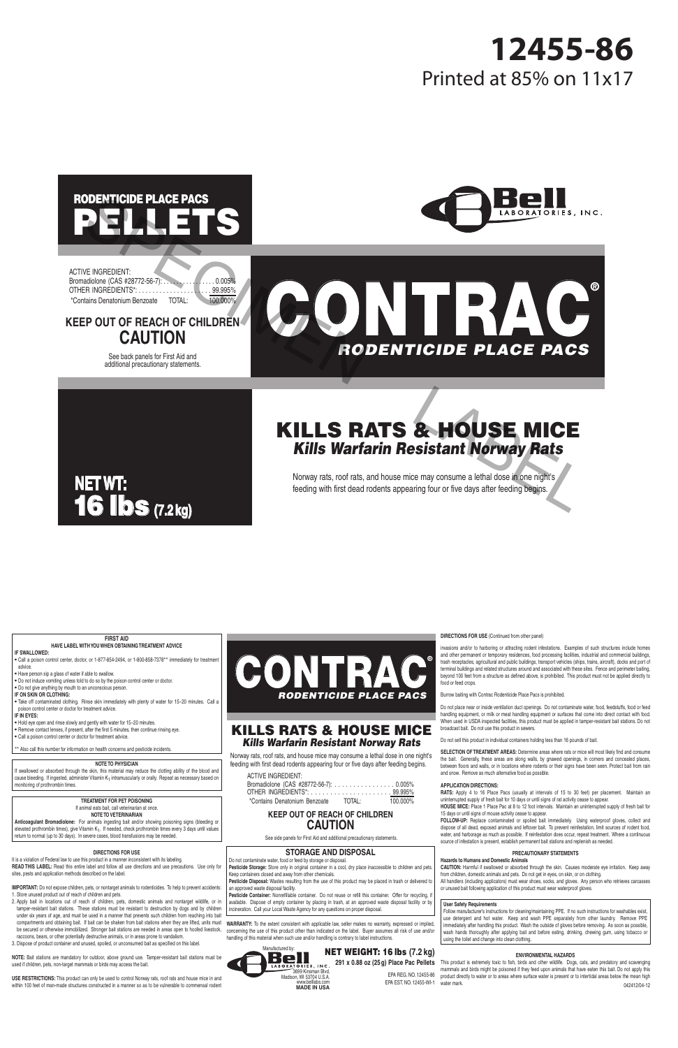## PELLETS RODENTICIDE PLACE PACS



ACTIVE INGREDIENT: Bromadiolone (CAS #28772-56-7): . . . . . . . . . . . . . . 0.005% OTHER INGREDIENTS\*: . . . . . . . . . . . . . . . . . . . . . 99.995% \*Contains Denatonium Benzoate TOTAL: 100.000%

#### **KEEP OUT OF REACH OF CHILDREN CAUTION**

See back panels for First Aid and additional precautionary statements.

# **NET WT:** 16 lbs **(7.2 kg)**

# ® **CONTRACT** *RODENTICIDE PLACE PACS* **SPELLETS**<br>
FRACH OF CHILDREN<br>
CAUTION<br>
CAUTION<br>
CAUTION<br>
RODENTICIDE PLACE PACS<br>
KILLS RATS & HOUSE MICE<br>
KILLS RATS & HOUSE MICE<br>
KILLS RATS & HOUSE MICE<br>
KILLS RATS & HOUSE MICE<br>
KILLS RATS & HOUSE MICE<br>
KILLS RATS & HO

### KILLS RATS & HOUSE MICE *Kills Warfarin Resistant Norway Rats*

Norway rats, roof rats, and house mice may consume a lethal dose in one night's feeding with first dead rodents appearing four or five days after feeding begins.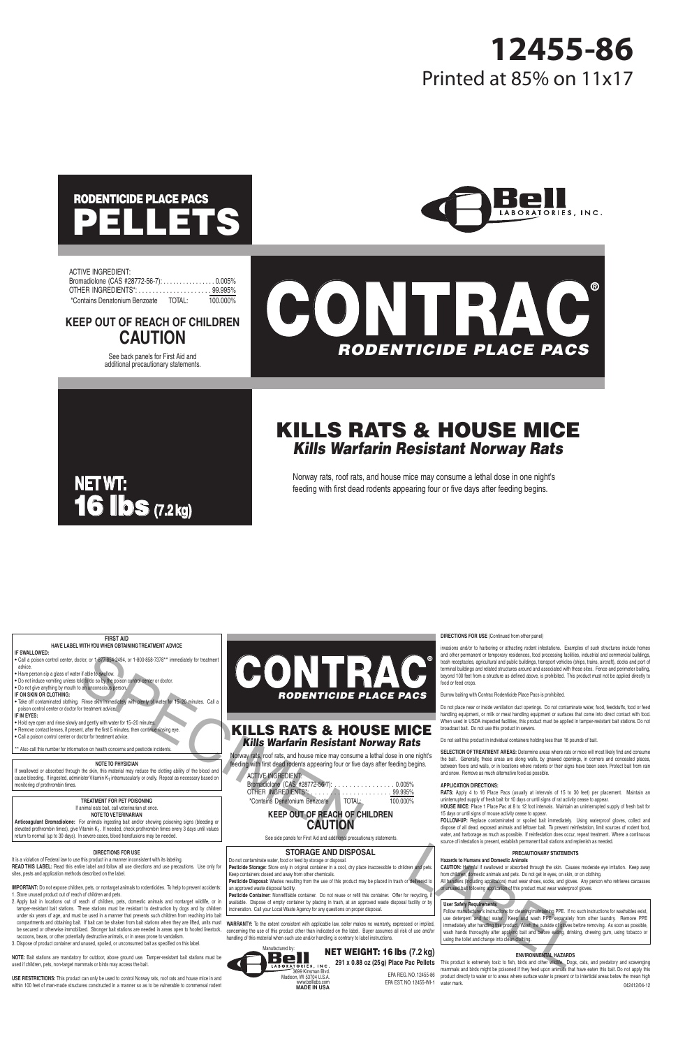#### **FIRST AID**

#### **HAVE LABEL WITH YOU WHEN OBTAINING TREATMENT ADVICE**

#### **IF SWALLOWED:**

**•** Call a poison control center, doctor, or 1-877-854-2494, or 1-800-858-7378\*\* immediately for treatment advice.

**•** Have person sip a glass of water if able to swallow.

**•** Do not induce vomiting unless told to do so by the poison control center or doctor. **•** Do not give anything by mouth to an unconscious person.

#### **IF ON SKIN OR CLOTHING:**

**•** Take off contaminated clothing. Rinse skin immediately with plenty of water for 15−20 minutes. Call a poison control center or doctor for treatment advice.

#### **IF IN EYES:**

- Hold eye open and rinse slowly and gently with water for 15−20 minutes.
- Remove contact lenses, if present, after the first 5 minutes, then continue rinsing eye.
- Call a poison control center or doctor for treatment advice.

\*\* Also call this number for information on health concerns and pesticide incidents.

#### **NOTE TO PHYSICIAN**

If swallowed or absorbed through the skin, this material may reduce the clotting ability of the blood and cause bleeding. If ingested, administer Vitamin K<sub>1</sub> intramuscularly or orally. Repeat as necessary based on monitoring of prothrombin times.

#### **TREATMENT FOR PET POISONING**

If animal eats bait, call veterinarian at once.

#### **NOTE TO VETERINARIAN**

**Anticoagulant Bromadiolone:** For animals ingesting bait and/or showing poisoning signs (bleeding or elevated prothrombin times), give Vitamin K<sub>1</sub>. If needed, check prothrombin times every 3 days until values return to normal (up to 30 days). In severe cases, blood transfusions may be needed.

#### **DIRECTIONS FOR USE**

It is a violation of Federal law to use this product in a manner inconsistent with its labeling. **READ THIS LABEL:** Read this entire label and follow all use directions and use precautions. Use only for sites, pests and application methods described on the label.

**IMPORTANT:** Do not expose children, pets, or nontarget animals to rodenticides. To help to prevent accidents: 1. Store unused product out of reach of children and pets.

- 2. Apply bait in locations out of reach of children, pets, domestic animals and nontarget wildlife, or in tamper-resistant bait stations. These stations must be resistant to destruction by dogs and by children under six years of age, and must be used in a manner that prevents such children from reaching into bait compartments and obtaining bait. If bait can be shaken from bait stations when they are lifted, units must be secured or otherwise immobilized. Stronger bait stations are needed in areas open to hoofed livestock, raccoons, bears, or other potentially destructive animals, or in areas prone to vandalism.
- 3. Dispose of product container and unused, spoiled, or unconsumed bait as specified on this label.

**NOTE:** Bait stations are mandatory for outdoor, above ground use. Tamper-resistant bait stations must be used if children, pets, non-target mammals or birds may access the bait.

**USE RESTRICTIONS:** This product can only be used to control Norway rats, roof rats and house mice in and within 100 feet of man-made structures constructed in a manner so as to be vulnerable to commensal rodent

# CONTRAC® *RODENTICIDE PLACE PACS* EXAMENTAL SPECIES PLACE PACE IS CONTINUES IN A CONTINUES PLACE PACE IS CONTINUES IN A CONTINUES IN A CONTINUES IN A CONTINUES IN A CONTINUES IN A CONTINUES IN A CONTINUES IN A CONTINUES IN A CONTINUES IN A CONTINUES IN A

#### KILLS RATS & HOUSE MICE *Kills Warfarin Resistant Norway Rats*

Norway rats, roof rats, and house mice may consume a lethal dose in one night's feeding with first dead rodents appearing four or five days after feeding begins.

#### ACTIVE INGREDIENT:

| Bromadiolone (CAS #28772-56-7): 0.005% |        |          |
|----------------------------------------|--------|----------|
|                                        |        |          |
| *Contains Denatonium Benzoate          | total: | 100.000% |

#### **KEEP OUT OF REACH OF CHILDREN CAUTION**

See side panels for First Aid and additional precautionary statements.

#### **STORAGE AND DISPOSAL**

Do not contaminate water, food or feed by storage or disposal.

**Pesticide Storage:** Store only in original container in a cool, dry place inaccessible to children and pets. Keep containers closed and away from other chemicals.

**Pesticide Disposal:** Wastes resulting from the use of this product may be placed in trash or delivered to an approved waste disposal facility.

Pesticide Container: Nonrefillable container. Do not reuse or refill this container. Offer for recycling. available. Dispose of empty container by placing in trash, at an approved waste disposal facility or by incineration. Call your Local Waste Agency for any questions on proper disposal.

WARRANTY: To the extent consistent with applicable law, seller makes no warranty, expressed or implied, concerning the use of this product other than indicated on the label. Buyer assumes all risk of use and/or handling of this material when such use and/or handling is contrary to label instructions.



#### NET WEIGHT: 16 lbs **(7.2 kg) 291 x 0.88 oz (25 g) Place Pac Pellets**

#### **DIRECTIONS FOR USE** (Continued from other panel)

invasions and/or to harboring or attracting rodent infestations. Examples of such structures include homes and other permanent or temporary residences, food processing facilities, industrial and commercial buildings, trash receptacles, agricultural and public buildings, transport vehicles (ships, trains, aircraft), docks and port of terminal buildings and related structures around and associated with these sites. Fence and perimeter baiting, beyond 100 feet from a structure as defined above, is prohibited. This product must not be applied directly to food or feed crops.

Burrow baiting with Contrac Rodenticide Place Pacs is prohibited.

Do not place near or inside ventilation duct openings. Do not contaminate water, food, feedstuffs, food or feed handling equipment, or milk or meat handling equipment or surfaces that come into direct contact with food. When used in USDA inspected facilities, this product must be applied in tamper-resistant bait stations. Do not broadcast bait. Do not use this product in sewers.

Do not sell this product in individual containers holding less than 16 pounds of bait.

**SELECTION OF TREATMENT AREAS:** Determine areas where rats or mice will most likely find and consume the bait. Generally, these areas are along walls, by gnawed openings, in corners and concealed places, between floors and walls, or in locations where rodents or their signs have been seen. Protect bait from rain and snow. Remove as much alternative food as possible.

#### **APPLICATION DIRECTIONS:**

**RATS:** Apply 4 to 16 Place Pacs (usually at intervals of 15 to 30 feet) per placement. Maintain an uninterrupted supply of fresh bait for 10 days or until signs of rat activity cease to appear.

**HOUSE MICE:** Place 1 Place Pac at 8 to 12 foot intervals. Maintain an uninterrupted supply of fresh bait for 15 days or until signs of mouse activity cease to appear.

**FOLLOW-UP:** Replace contaminated or spoiled bait immediately. Using waterproof gloves, collect and dispose of all dead, exposed animals and leftover bait. To prevent reinfestation, limit sources of rodent food, water, and harborage as much as possible. If reinfestation does occur, repeat treatment. Where a continuous source of infestation is present, establish permanent bait stations and replenish as needed.

#### **PRECAUTIONARY STATEMENTS**

#### **Hazards to Humans and Domestic Animals**

**CAUTION:** Harmful if swallowed or absorbed through the skin. Causes moderate eye irritation. Keep away from children, domestic animals and pets. Do not get in eyes, on skin, or on clothing.

All handlers (including applicators) must wear shoes, socks, and gloves. Any person who retrieves carcasses or unused bait following application of this product must wear waterproof gloves.

#### **User Safety Requirements**

Follow manufacturer's instructions for cleaning/maintaining PPE. If no such instructions for washables exist, use detergent and hot water. Keep and wash PPE separately from other laundry. Remove PPE immediately after handling this product. Wash the outside of gloves before removing. As soon as possible, wash hands thoroughly after applying bait and before eating, drinking, chewing gum, using tobacco or using the toilet and change into clean clothing.

#### **ENVIRONMENTAL HAZARDS**

This product is extremely toxic to fish, birds and other wildlife. Dogs, cats, and predatory and scavenging mammals and birds might be poisoned if they feed upon animals that have eaten this bait. Do not apply this product directly to water or to areas where surface water is present or to intertidal areas below the mean high water mark. 042412/04-12

EPA REG. NO. 12455-86 EPA EST. NO. 12455-WI-1